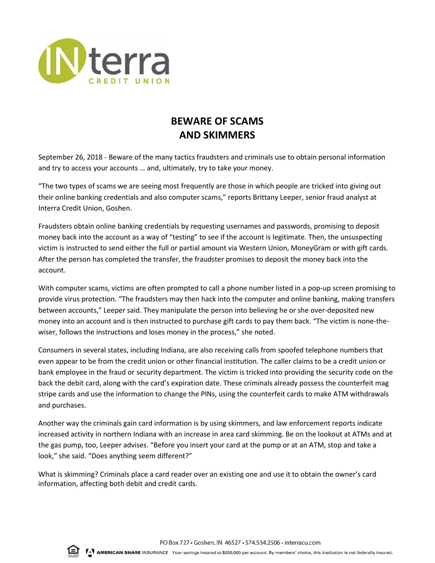

## **BEWARE OF SCAMS AND SKIMMERS**

September 26, 2018 - Beware of the many tactics fraudsters and criminals use to obtain personal information and try to access your accounts … and, ultimately, try to take your money.

"The two types of scams we are seeing most frequently are those in which people are tricked into giving out their online banking credentials and also computer scams," reports Brittany Leeper, senior fraud analyst at Interra Credit Union, Goshen.

Fraudsters obtain online banking credentials by requesting usernames and passwords, promising to deposit money back into the account as a way of "testing" to see if the account is legitimate. Then, the unsuspecting victim is instructed to send either the full or partial amount via Western Union, MoneyGram or with gift cards. After the person has completed the transfer, the fraudster promises to deposit the money back into the account.

With computer scams, victims are often prompted to call a phone number listed in a pop-up screen promising to provide virus protection. "The fraudsters may then hack into the computer and online banking, making transfers between accounts," Leeper said. They manipulate the person into believing he or she over-deposited new money into an account and is then instructed to purchase gift cards to pay them back. "The victim is none-thewiser, follows the instructions and loses money in the process," she noted.

Consumers in several states, including Indiana, are also receiving calls from spoofed telephone numbers that even appear to be from the credit union or other financial institution. The caller claims to be a credit union or bank employee in the fraud or security department. The victim is tricked into providing the security code on the back the debit card, along with the card's expiration date. These criminals already possess the counterfeit mag stripe cards and use the information to change the PINs, using the counterfeit cards to make ATM withdrawals and purchases.

Another way the criminals gain card information is by using skimmers, and law enforcement reports indicate increased activity in northern Indiana with an increase in area card skimming. Be on the lookout at ATMs and at the gas pump, too, Leeper advises. "Before you insert your card at the pump or at an ATM, stop and take a look," she said. "Does anything seem different?"

What is skimming? Criminals place a card reader over an existing one and use it to obtain the owner's card information, affecting both debit and credit cards.

PO Box 727 · Goshen, IN 46527 · 574.534.2506 · interracu.com



TAT AMERICAN SHARE INSURANCE Your savings insured to \$250,000 per account. By members' choice, this institution is not federally insured.